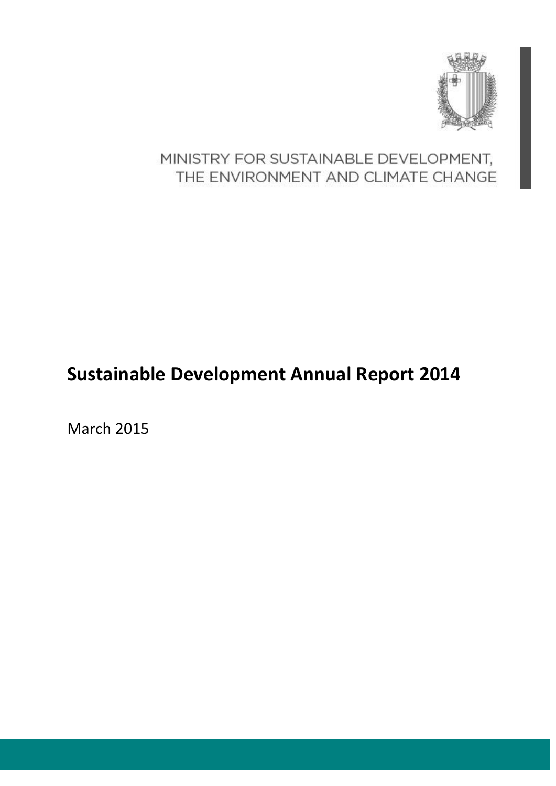

## MINISTRY FOR SUSTAINABLE DEVELOPMENT, THE ENVIRONMENT AND CLIMATE CHANGE

# **Sustainable Development Annual Report 2014**

March 2015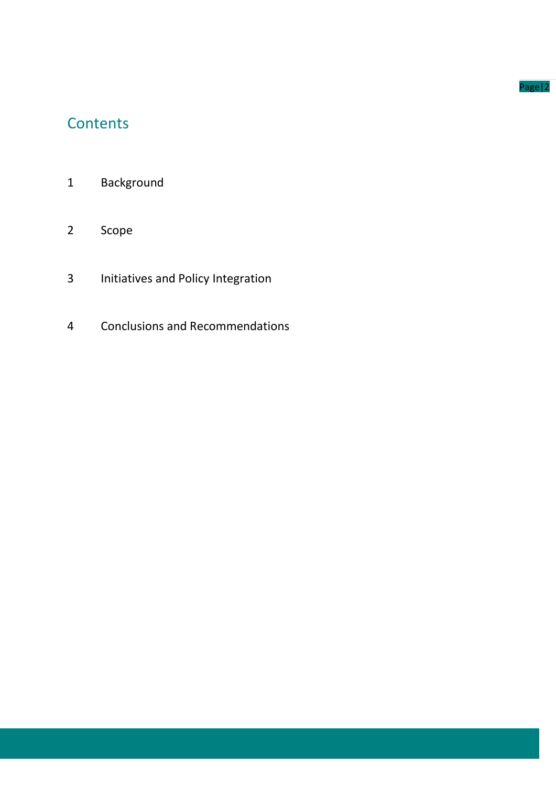#### Page|2

## **Contents**

- Background
- Scope
- Initiatives and Policy Integration
- Conclusions and Recommendations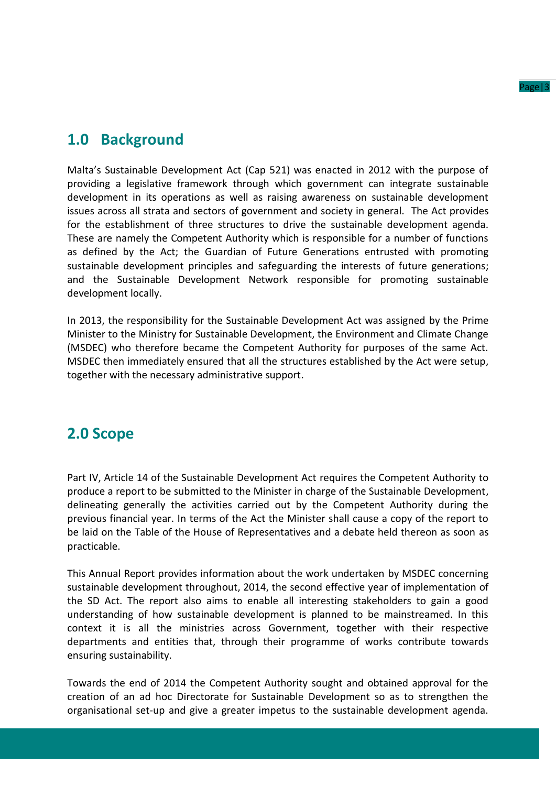

## **1.0 Background**

Malta's Sustainable Development Act (Cap 521) was enacted in 2012 with the purpose of providing a legislative framework through which government can integrate sustainable development in its operations as well as raising awareness on sustainable development issues across all strata and sectors of government and society in general. The Act provides for the establishment of three structures to drive the sustainable development agenda. These are namely the Competent Authority which is responsible for a number of functions as defined by the Act; the Guardian of Future Generations entrusted with promoting sustainable development principles and safeguarding the interests of future generations; and the Sustainable Development Network responsible for promoting sustainable development locally.

In 2013, the responsibility for the Sustainable Development Act was assigned by the Prime Minister to the Ministry for Sustainable Development, the Environment and Climate Change (MSDEC) who therefore became the Competent Authority for purposes of the same Act. MSDEC then immediately ensured that all the structures established by the Act were setup, together with the necessary administrative support.

## **2.0 Scope**

Part IV, Article 14 of the Sustainable Development Act requires the Competent Authority to produce a report to be submitted to the Minister in charge of the Sustainable Development, delineating generally the activities carried out by the Competent Authority during the previous financial year. In terms of the Act the Minister shall cause a copy of the report to be laid on the Table of the House of Representatives and a debate held thereon as soon as practicable.

This Annual Report provides information about the work undertaken by MSDEC concerning sustainable development throughout, 2014, the second effective year of implementation of the SD Act. The report also aims to enable all interesting stakeholders to gain a good understanding of how sustainable development is planned to be mainstreamed. In this context it is all the ministries across Government, together with their respective departments and entities that, through their programme of works contribute towards ensuring sustainability.

Towards the end of 2014 the Competent Authority sought and obtained approval for the creation of an ad hoc Directorate for Sustainable Development so as to strengthen the organisational set-up and give a greater impetus to the sustainable development agenda.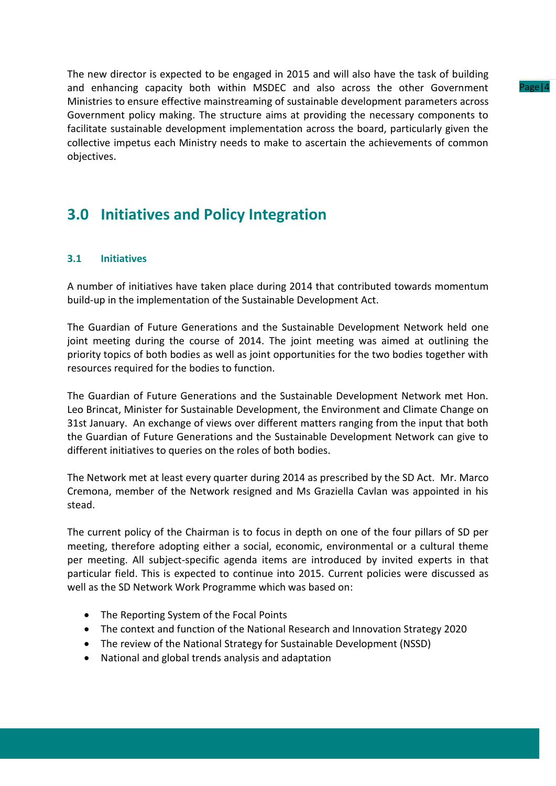The new director is expected to be engaged in 2015 and will also have the task of building and enhancing capacity both within MSDEC and also across the other Government Ministries to ensure effective mainstreaming of sustainable development parameters across Government policy making. The structure aims at providing the necessary components to facilitate sustainable development implementation across the board, particularly given the collective impetus each Ministry needs to make to ascertain the achievements of common objectives.

## **3.0 Initiatives and Policy Integration**

## **3.1 Initiatives**

A number of initiatives have taken place during 2014 that contributed towards momentum build-up in the implementation of the Sustainable Development Act.

The Guardian of Future Generations and the Sustainable Development Network held one joint meeting during the course of 2014. The joint meeting was aimed at outlining the priority topics of both bodies as well as joint opportunities for the two bodies together with resources required for the bodies to function.

The Guardian of Future Generations and the Sustainable Development Network met Hon. Leo Brincat, Minister for Sustainable Development, the Environment and Climate Change on 31st January. An exchange of views over different matters ranging from the input that both the Guardian of Future Generations and the Sustainable Development Network can give to different initiatives to queries on the roles of both bodies.

The Network met at least every quarter during 2014 as prescribed by the SD Act. Mr. Marco Cremona, member of the Network resigned and Ms Graziella Cavlan was appointed in his stead.

The current policy of the Chairman is to focus in depth on one of the four pillars of SD per meeting, therefore adopting either a social, economic, environmental or a cultural theme per meeting. All subject-specific agenda items are introduced by invited experts in that particular field. This is expected to continue into 2015. Current policies were discussed as well as the SD Network Work Programme which was based on:

- The Reporting System of the Focal Points
- The context and function of the National Research and Innovation Strategy 2020
- The review of the National Strategy for Sustainable Development (NSSD)
- National and global trends analysis and adaptation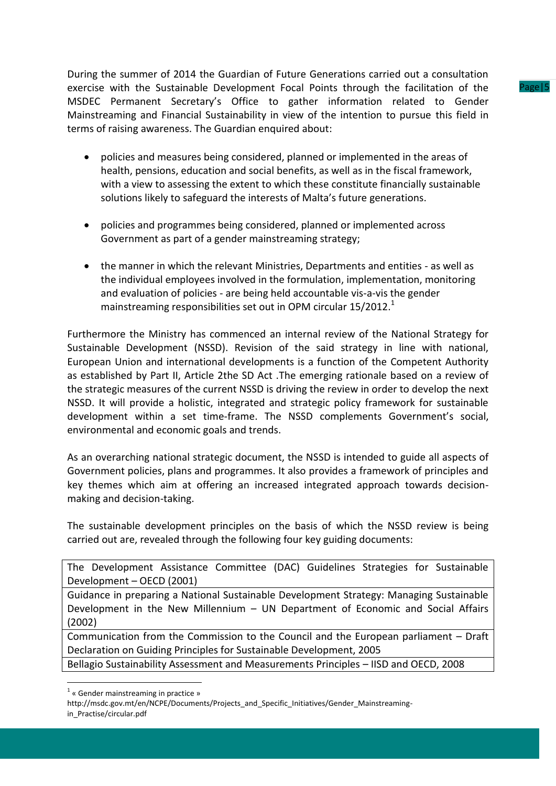During the summer of 2014 the Guardian of Future Generations carried out a consultation exercise with the Sustainable Development Focal Points through the facilitation of the MSDEC Permanent Secretary's Office to gather information related to Gender Mainstreaming and Financial Sustainability in view of the intention to pursue this field in terms of raising awareness. The Guardian enquired about:

- policies and measures being considered, planned or implemented in the areas of health, pensions, education and social benefits, as well as in the fiscal framework, with a view to assessing the extent to which these constitute financially sustainable solutions likely to safeguard the interests of Malta's future generations.
- policies and programmes being considered, planned or implemented across Government as part of a gender mainstreaming strategy;
- the manner in which the relevant Ministries, Departments and entities as well as the individual employees involved in the formulation, implementation, monitoring and evaluation of policies - are being held accountable vis-a-vis the gender mainstreaming responsibilities set out in OPM circular  $15/2012$ .<sup>1</sup>

Furthermore the Ministry has commenced an internal review of the National Strategy for Sustainable Development (NSSD). Revision of the said strategy in line with national, European Union and international developments is a function of the Competent Authority as established by Part II, Article 2the SD Act .The emerging rationale based on a review of the strategic measures of the current NSSD is driving the review in order to develop the next NSSD. It will provide a holistic, integrated and strategic policy framework for sustainable development within a set time-frame. The NSSD complements Government's social, environmental and economic goals and trends.

As an overarching national strategic document, the NSSD is intended to guide all aspects of Government policies, plans and programmes. It also provides a framework of principles and key themes which aim at offering an increased integrated approach towards decisionmaking and decision-taking.

The sustainable development principles on the basis of which the NSSD review is being carried out are, revealed through the following four key guiding documents:

The Development Assistance Committee (DAC) Guidelines Strategies for Sustainable Development – OECD (2001)

Guidance in preparing a National Sustainable Development Strategy: Managing Sustainable Development in the New Millennium – UN Department of Economic and Social Affairs (2002)

Communication from the Commission to the Council and the European parliament – Draft Declaration on Guiding Principles for Sustainable Development, 2005

Bellagio Sustainability Assessment and Measurements Principles – IISD and OECD, 2008

1

 $P_{\text{max}}(5)$ 

<sup>&</sup>lt;sup>1</sup> « Gender mainstreaming in practice »

http://msdc.gov.mt/en/NCPE/Documents/Projects\_and\_Specific\_Initiatives/Gender\_Mainstreamingin Practise/circular.pdf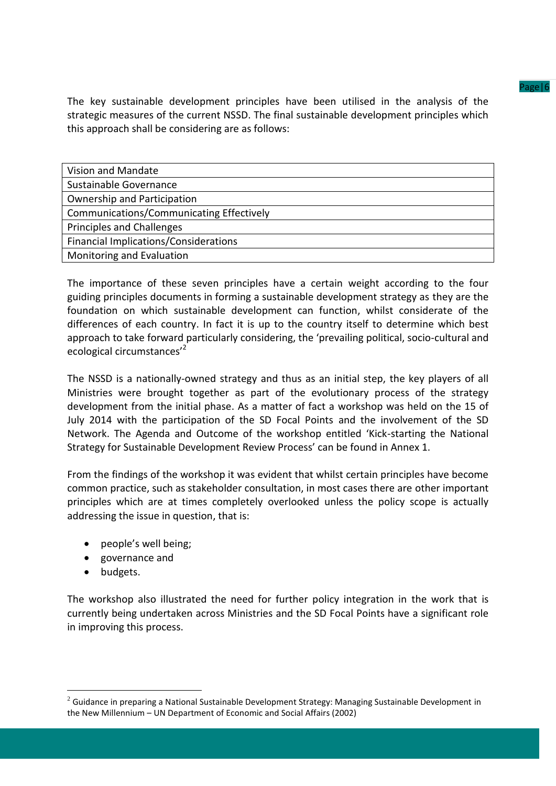The key sustainable development principles have been utilised in the analysis of the strategic measures of the current NSSD. The final sustainable development principles which this approach shall be considering are as follows:

| Vision and Mandate                       |
|------------------------------------------|
| Sustainable Governance                   |
| Ownership and Participation              |
| Communications/Communicating Effectively |
| Principles and Challenges                |
| Financial Implications/Considerations    |
| Monitoring and Evaluation                |

The importance of these seven principles have a certain weight according to the four guiding principles documents in forming a sustainable development strategy as they are the foundation on which sustainable development can function, whilst considerate of the differences of each country. In fact it is up to the country itself to determine which best approach to take forward particularly considering, the 'prevailing political, socio-cultural and ecological circumstances'<sup>2</sup>

The NSSD is a nationally-owned strategy and thus as an initial step, the key players of all Ministries were brought together as part of the evolutionary process of the strategy development from the initial phase. As a matter of fact a workshop was held on the 15 of July 2014 with the participation of the SD Focal Points and the involvement of the SD Network. The Agenda and Outcome of the workshop entitled 'Kick-starting the National Strategy for Sustainable Development Review Process' can be found in Annex 1.

From the findings of the workshop it was evident that whilst certain principles have become common practice, such as stakeholder consultation, in most cases there are other important principles which are at times completely overlooked unless the policy scope is actually addressing the issue in question, that is:

- people's well being;
- governance and
- budgets.

<u>.</u>

The workshop also illustrated the need for further policy integration in the work that is currently being undertaken across Ministries and the SD Focal Points have a significant role in improving this process.

 $2$  Guidance in preparing a National Sustainable Development Strategy: Managing Sustainable Development in the New Millennium – UN Department of Economic and Social Affairs (2002)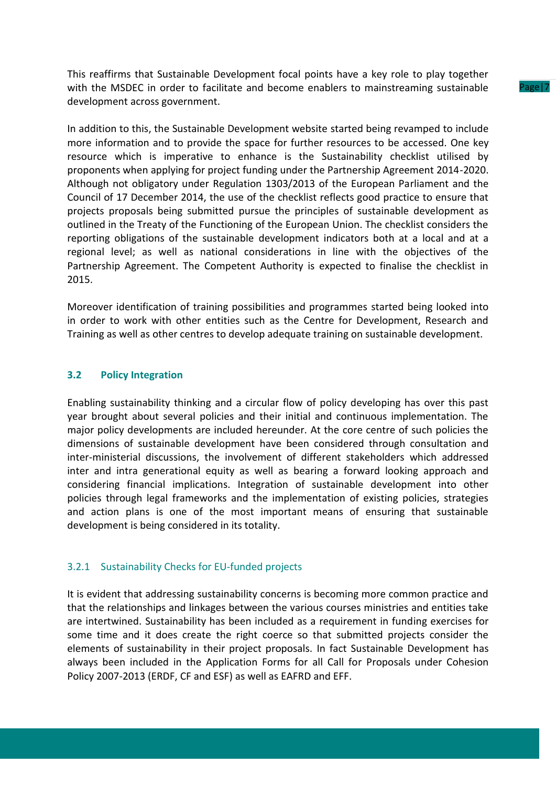This reaffirms that Sustainable Development focal points have a key role to play together with the MSDEC in order to facilitate and become enablers to mainstreaming sustainable development across government.

In addition to this, the Sustainable Development website started being revamped to include more information and to provide the space for further resources to be accessed. One key resource which is imperative to enhance is the Sustainability checklist utilised by proponents when applying for project funding under the Partnership Agreement 2014-2020. Although not obligatory under Regulation 1303/2013 of the European Parliament and the Council of 17 December 2014, the use of the checklist reflects good practice to ensure that projects proposals being submitted pursue the principles of sustainable development as outlined in the Treaty of the Functioning of the European Union. The checklist considers the reporting obligations of the sustainable development indicators both at a local and at a regional level; as well as national considerations in line with the objectives of the Partnership Agreement. The Competent Authority is expected to finalise the checklist in 2015.

Moreover identification of training possibilities and programmes started being looked into in order to work with other entities such as the Centre for Development, Research and Training as well as other centres to develop adequate training on sustainable development.

### **3.2 Policy Integration**

Enabling sustainability thinking and a circular flow of policy developing has over this past year brought about several policies and their initial and continuous implementation. The major policy developments are included hereunder. At the core centre of such policies the dimensions of sustainable development have been considered through consultation and inter-ministerial discussions, the involvement of different stakeholders which addressed inter and intra generational equity as well as bearing a forward looking approach and considering financial implications. Integration of sustainable development into other policies through legal frameworks and the implementation of existing policies, strategies and action plans is one of the most important means of ensuring that sustainable development is being considered in its totality.

#### 3.2.1 Sustainability Checks for EU-funded projects

It is evident that addressing sustainability concerns is becoming more common practice and that the relationships and linkages between the various courses ministries and entities take are intertwined. Sustainability has been included as a requirement in funding exercises for some time and it does create the right coerce so that submitted projects consider the elements of sustainability in their project proposals. In fact Sustainable Development has always been included in the Application Forms for all Call for Proposals under Cohesion Policy 2007-2013 (ERDF, CF and ESF) as well as EAFRD and EFF.

Page|7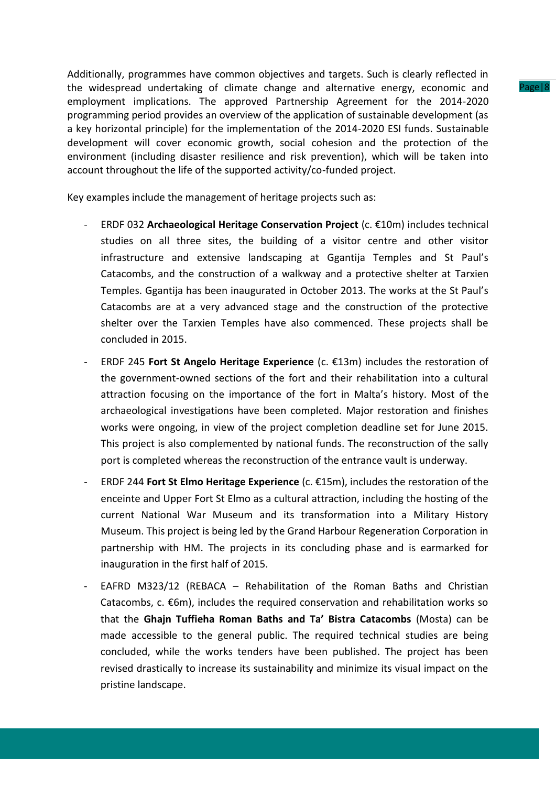Additionally, programmes have common objectives and targets. Such is clearly reflected in the widespread undertaking of climate change and alternative energy, economic and employment implications. The approved Partnership Agreement for the 2014-2020 programming period provides an overview of the application of sustainable development (as a key horizontal principle) for the implementation of the 2014-2020 ESI funds. Sustainable development will cover economic growth, social cohesion and the protection of the environment (including disaster resilience and risk prevention), which will be taken into account throughout the life of the supported activity/co-funded project.

Key examples include the management of heritage projects such as:

- ERDF 032 **Archaeological Heritage Conservation Project** (c. €10m) includes technical studies on all three sites, the building of a visitor centre and other visitor infrastructure and extensive landscaping at Ggantija Temples and St Paul's Catacombs, and the construction of a walkway and a protective shelter at Tarxien Temples. Ggantija has been inaugurated in October 2013. The works at the St Paul's Catacombs are at a very advanced stage and the construction of the protective shelter over the Tarxien Temples have also commenced. These projects shall be concluded in 2015.
- ERDF 245 **Fort St Angelo Heritage Experience** (c. €13m) includes the restoration of the government-owned sections of the fort and their rehabilitation into a cultural attraction focusing on the importance of the fort in Malta's history. Most of the archaeological investigations have been completed. Major restoration and finishes works were ongoing, in view of the project completion deadline set for June 2015. This project is also complemented by national funds. The reconstruction of the sally port is completed whereas the reconstruction of the entrance vault is underway.
- ERDF 244 **Fort St Elmo Heritage Experience** (c. €15m), includes the restoration of the enceinte and Upper Fort St Elmo as a cultural attraction, including the hosting of the current National War Museum and its transformation into a Military History Museum. This project is being led by the Grand Harbour Regeneration Corporation in partnership with HM. The projects in its concluding phase and is earmarked for inauguration in the first half of 2015.
- EAFRD M323/12 (REBACA Rehabilitation of the Roman Baths and Christian Catacombs,  $c. \, \epsilon$ 6m), includes the required conservation and rehabilitation works so that the **Ghajn Tuffieha Roman Baths and Ta' Bistra Catacombs** (Mosta) can be made accessible to the general public. The required technical studies are being concluded, while the works tenders have been published. The project has been revised drastically to increase its sustainability and minimize its visual impact on the pristine landscape.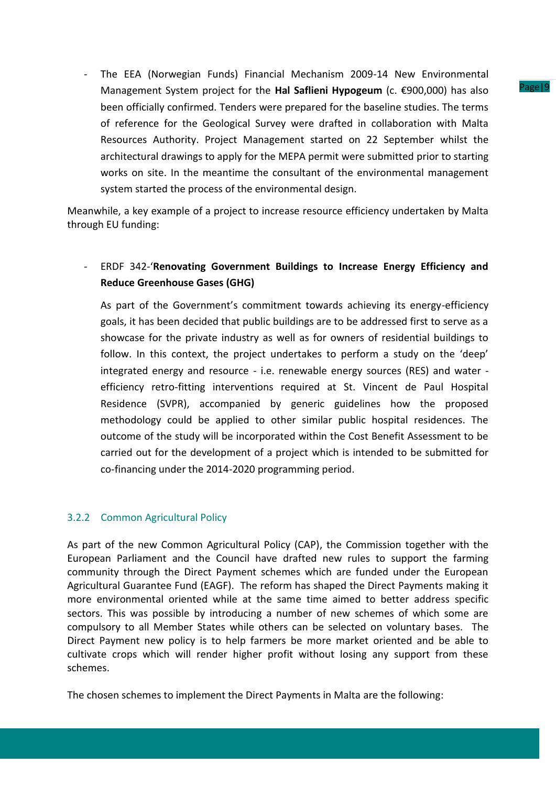- The EEA (Norwegian Funds) Financial Mechanism 2009-14 New Environmental Management System project for the **Hal Saflieni Hypogeum** (c. €900,000) has also been officially confirmed. Tenders were prepared for the baseline studies. The terms of reference for the Geological Survey were drafted in collaboration with Malta Resources Authority. Project Management started on 22 September whilst the architectural drawings to apply for the MEPA permit were submitted prior to starting works on site. In the meantime the consultant of the environmental management system started the process of the environmental design.

Meanwhile, a key example of a project to increase resource efficiency undertaken by Malta through EU funding:

## - ERDF 342-'**Renovating Government Buildings to Increase Energy Efficiency and Reduce Greenhouse Gases (GHG)**

As part of the Government's commitment towards achieving its energy-efficiency goals, it has been decided that public buildings are to be addressed first to serve as a showcase for the private industry as well as for owners of residential buildings to follow. In this context, the project undertakes to perform a study on the 'deep' integrated energy and resource - i.e. renewable energy sources (RES) and water efficiency retro-fitting interventions required at St. Vincent de Paul Hospital Residence (SVPR), accompanied by generic guidelines how the proposed methodology could be applied to other similar public hospital residences. The outcome of the study will be incorporated within the Cost Benefit Assessment to be carried out for the development of a project which is intended to be submitted for co-financing under the 2014-2020 programming period.

## 3.2.2 Common Agricultural Policy

As part of the new Common Agricultural Policy (CAP), the Commission together with the European Parliament and the Council have drafted new rules to support the farming community through the Direct Payment schemes which are funded under the European Agricultural Guarantee Fund (EAGF). The reform has shaped the Direct Payments making it more environmental oriented while at the same time aimed to better address specific sectors. This was possible by introducing a number of new schemes of which some are compulsory to all Member States while others can be selected on voluntary bases. The Direct Payment new policy is to help farmers be more market oriented and be able to cultivate crops which will render higher profit without losing any support from these schemes.

The chosen schemes to implement the Direct Payments in Malta are the following: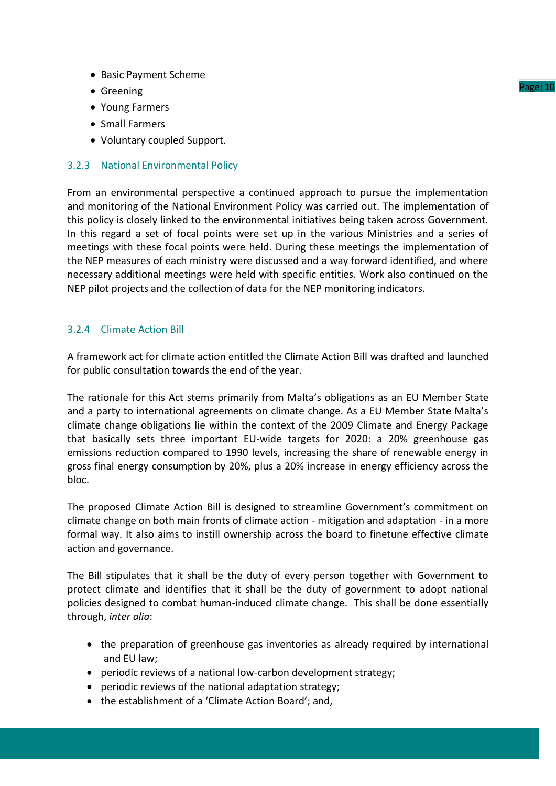- Basic Payment Scheme
- Greening
- Young Farmers
- Small Farmers
- Voluntary coupled Support.

## 3.2.3 National Environmental Policy

From an environmental perspective a continued approach to pursue the implementation and monitoring of the National Environment Policy was carried out. The implementation of this policy is closely linked to the environmental initiatives being taken across Government. In this regard a set of focal points were set up in the various Ministries and a series of meetings with these focal points were held. During these meetings the implementation of the NEP measures of each ministry were discussed and a way forward identified, and where necessary additional meetings were held with specific entities. Work also continued on the NEP pilot projects and the collection of data for the NEP monitoring indicators.

## 3.2.4 Climate Action Bill

A framework act for climate action entitled the Climate Action Bill was drafted and launched for public consultation towards the end of the year.

The rationale for this Act stems primarily from Malta's obligations as an EU Member State and a party to international agreements on climate change. As a EU Member State Malta's climate change obligations lie within the context of the 2009 Climate and Energy Package that basically sets three important EU-wide targets for 2020: a 20% greenhouse gas emissions reduction compared to 1990 levels, increasing the share of renewable energy in gross final energy consumption by 20%, plus a 20% increase in energy efficiency across the bloc.

The proposed Climate Action Bill is designed to streamline Government's commitment on climate change on both main fronts of climate action - mitigation and adaptation - in a more formal way. It also aims to instill ownership across the board to finetune effective climate action and governance.

The Bill stipulates that it shall be the duty of every person together with Government to protect climate and identifies that it shall be the duty of government to adopt national policies designed to combat human-induced climate change. This shall be done essentially through, *inter alia*:

- the preparation of greenhouse gas inventories as already required by international and EU law;
- periodic reviews of a national low-carbon development strategy;
- periodic reviews of the national adaptation strategy;
- the establishment of a 'Climate Action Board'; and,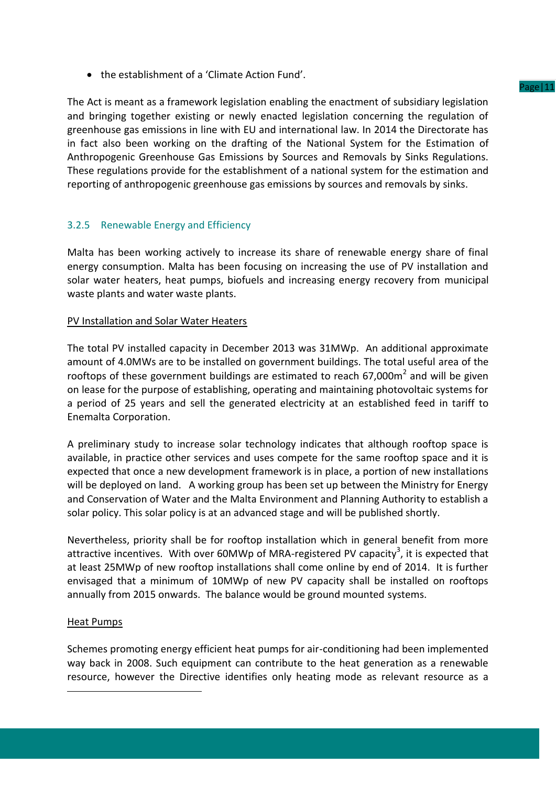the establishment of a 'Climate Action Fund'.

The Act is meant as a framework legislation enabling the enactment of subsidiary legislation and bringing together existing or newly enacted legislation concerning the regulation of greenhouse gas emissions in line with EU and international law. In 2014 the Directorate has in fact also been working on the drafting of the National System for the Estimation of Anthropogenic Greenhouse Gas Emissions by Sources and Removals by Sinks Regulations. These regulations provide for the establishment of a national system for the estimation and reporting of anthropogenic greenhouse gas emissions by sources and removals by sinks.

## 3.2.5 Renewable Energy and Efficiency

Malta has been working actively to increase its share of renewable energy share of final energy consumption. Malta has been focusing on increasing the use of PV installation and solar water heaters, heat pumps, biofuels and increasing energy recovery from municipal waste plants and water waste plants.

## PV Installation and Solar Water Heaters

The total PV installed capacity in December 2013 was 31MWp. An additional approximate amount of 4.0MWs are to be installed on government buildings. The total useful area of the rooftops of these government buildings are estimated to reach  $67,000$ m<sup>2</sup> and will be given on lease for the purpose of establishing, operating and maintaining photovoltaic systems for a period of 25 years and sell the generated electricity at an established feed in tariff to Enemalta Corporation.

A preliminary study to increase solar technology indicates that although rooftop space is available, in practice other services and uses compete for the same rooftop space and it is expected that once a new development framework is in place, a portion of new installations will be deployed on land. A working group has been set up between the Ministry for Energy and Conservation of Water and the Malta Environment and Planning Authority to establish a solar policy. This solar policy is at an advanced stage and will be published shortly.

Nevertheless, priority shall be for rooftop installation which in general benefit from more attractive incentives. With over 60MWp of MRA-registered PV capacity<sup>3</sup>, it is expected that at least 25MWp of new rooftop installations shall come online by end of 2014. It is further envisaged that a minimum of 10MWp of new PV capacity shall be installed on rooftops annually from 2015 onwards. The balance would be ground mounted systems.

## Heat Pumps

1

Schemes promoting energy efficient heat pumps for air-conditioning had been implemented way back in 2008. Such equipment can contribute to the heat generation as a renewable resource, however the Directive identifies only heating mode as relevant resource as a

#### Page|11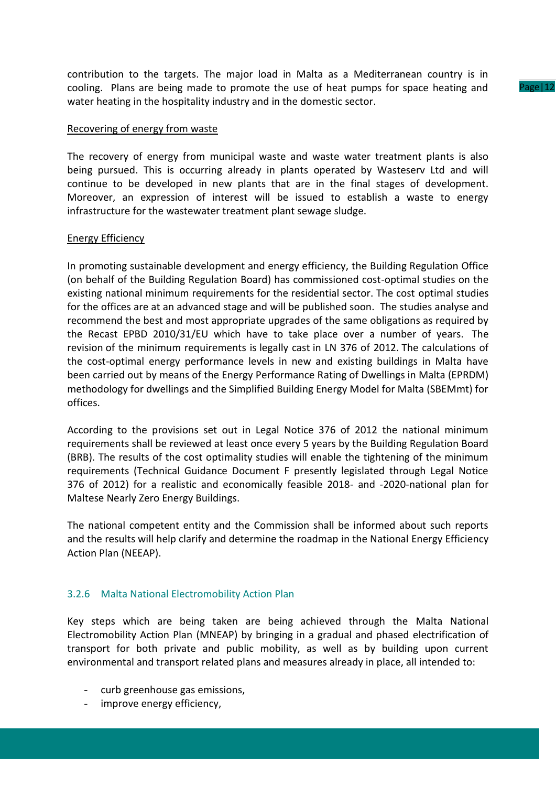contribution to the targets. The major load in Malta as a Mediterranean country is in cooling. Plans are being made to promote the use of heat pumps for space heating and water heating in the hospitality industry and in the domestic sector.

#### Recovering of energy from waste

The recovery of energy from municipal waste and waste water treatment plants is also being pursued. This is occurring already in plants operated by Wasteserv Ltd and will continue to be developed in new plants that are in the final stages of development. Moreover, an expression of interest will be issued to establish a waste to energy infrastructure for the wastewater treatment plant sewage sludge.

### Energy Efficiency

In promoting sustainable development and energy efficiency, the Building Regulation Office (on behalf of the Building Regulation Board) has commissioned cost-optimal studies on the existing national minimum requirements for the residential sector. The cost optimal studies for the offices are at an advanced stage and will be published soon. The studies analyse and recommend the best and most appropriate upgrades of the same obligations as required by the Recast EPBD 2010/31/EU which have to take place over a number of years. The revision of the minimum requirements is legally cast in LN 376 of 2012. The calculations of the cost-optimal energy performance levels in new and existing buildings in Malta have been carried out by means of the Energy Performance Rating of Dwellings in Malta (EPRDM) methodology for dwellings and the Simplified Building Energy Model for Malta (SBEMmt) for offices.

According to the provisions set out in Legal Notice 376 of 2012 the national minimum requirements shall be reviewed at least once every 5 years by the Building Regulation Board (BRB). The results of the cost optimality studies will enable the tightening of the minimum requirements (Technical Guidance Document F presently legislated through Legal Notice 376 of 2012) for a realistic and economically feasible 2018- and -2020-national plan for Maltese Nearly Zero Energy Buildings.

The national competent entity and the Commission shall be informed about such reports and the results will help clarify and determine the roadmap in the National Energy Efficiency Action Plan (NEEAP).

## 3.2.6 Malta National Electromobility Action Plan

Key steps which are being taken are being achieved through the Malta National Electromobility Action Plan (MNEAP) by bringing in a gradual and phased electrification of transport for both private and public mobility, as well as by building upon current environmental and transport related plans and measures already in place, all intended to:

- curb greenhouse gas emissions,
- improve energy efficiency,

Page | 12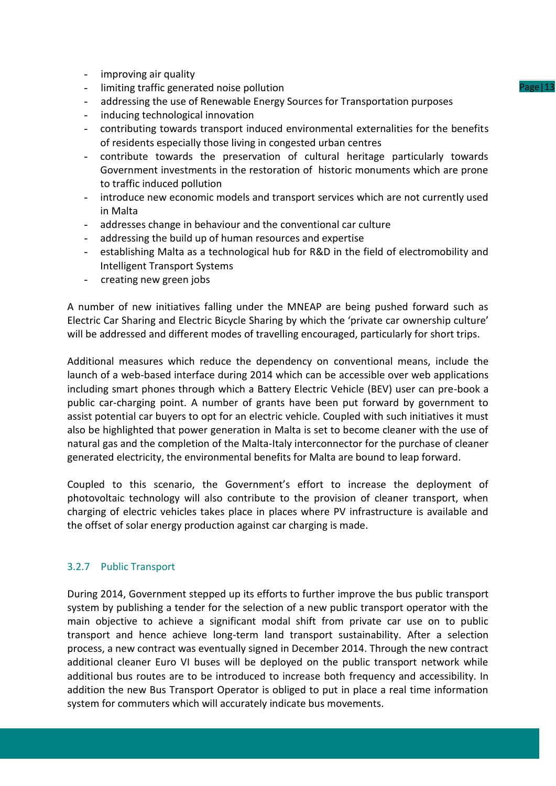- improving air quality
- limiting traffic generated noise pollution
- addressing the use of Renewable Energy Sources for Transportation purposes
- inducing technological innovation
- contributing towards transport induced environmental externalities for the benefits of residents especially those living in congested urban centres
- contribute towards the preservation of cultural heritage particularly towards Government investments in the restoration of historic monuments which are prone to traffic induced pollution
- introduce new economic models and transport services which are not currently used in Malta
- addresses change in behaviour and the conventional car culture
- addressing the build up of human resources and expertise
- establishing Malta as a technological hub for R&D in the field of electromobility and Intelligent Transport Systems
- creating new green jobs

A number of new initiatives falling under the MNEAP are being pushed forward such as Electric Car Sharing and Electric Bicycle Sharing by which the 'private car ownership culture' will be addressed and different modes of travelling encouraged, particularly for short trips.

Additional measures which reduce the dependency on conventional means, include the launch of a web-based interface during 2014 which can be accessible over web applications including smart phones through which a Battery Electric Vehicle (BEV) user can pre-book a public car-charging point. A number of grants have been put forward by government to assist potential car buyers to opt for an electric vehicle. Coupled with such initiatives it must also be highlighted that power generation in Malta is set to become cleaner with the use of natural gas and the completion of the Malta-Italy interconnector for the purchase of cleaner generated electricity, the environmental benefits for Malta are bound to leap forward.

Coupled to this scenario, the Government's effort to increase the deployment of photovoltaic technology will also contribute to the provision of cleaner transport, when charging of electric vehicles takes place in places where PV infrastructure is available and the offset of solar energy production against car charging is made.

## 3.2.7 Public Transport

During 2014, Government stepped up its efforts to further improve the bus public transport system by publishing a tender for the selection of a new public transport operator with the main objective to achieve a significant modal shift from private car use on to public transport and hence achieve long-term land transport sustainability. After a selection process, a new contract was eventually signed in December 2014. Through the new contract additional cleaner Euro VI buses will be deployed on the public transport network while additional bus routes are to be introduced to increase both frequency and accessibility. In addition the new Bus Transport Operator is obliged to put in place a real time information system for commuters which will accurately indicate bus movements.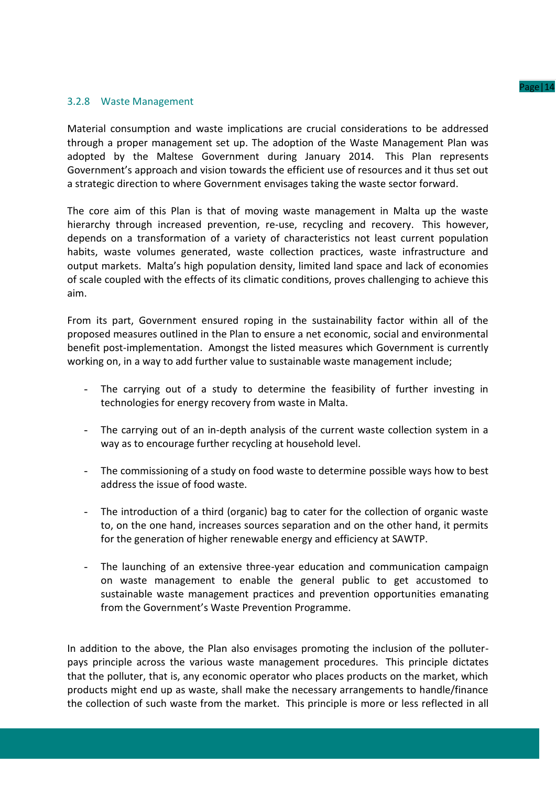### 3.2.8 Waste Management

Material consumption and waste implications are crucial considerations to be addressed through a proper management set up. The adoption of the Waste Management Plan was adopted by the Maltese Government during January 2014. This Plan represents Government's approach and vision towards the efficient use of resources and it thus set out a strategic direction to where Government envisages taking the waste sector forward.

The core aim of this Plan is that of moving waste management in Malta up the waste hierarchy through increased prevention, re-use, recycling and recovery. This however, depends on a transformation of a variety of characteristics not least current population habits, waste volumes generated, waste collection practices, waste infrastructure and output markets. Malta's high population density, limited land space and lack of economies of scale coupled with the effects of its climatic conditions, proves challenging to achieve this aim.

From its part, Government ensured roping in the sustainability factor within all of the proposed measures outlined in the Plan to ensure a net economic, social and environmental benefit post-implementation. Amongst the listed measures which Government is currently working on, in a way to add further value to sustainable waste management include;

- The carrying out of a study to determine the feasibility of further investing in technologies for energy recovery from waste in Malta.
- The carrying out of an in-depth analysis of the current waste collection system in a way as to encourage further recycling at household level.
- The commissioning of a study on food waste to determine possible ways how to best address the issue of food waste.
- The introduction of a third (organic) bag to cater for the collection of organic waste to, on the one hand, increases sources separation and on the other hand, it permits for the generation of higher renewable energy and efficiency at SAWTP.
- The launching of an extensive three-year education and communication campaign on waste management to enable the general public to get accustomed to sustainable waste management practices and prevention opportunities emanating from the Government's Waste Prevention Programme.

In addition to the above, the Plan also envisages promoting the inclusion of the polluterpays principle across the various waste management procedures. This principle dictates that the polluter, that is, any economic operator who places products on the market, which products might end up as waste, shall make the necessary arrangements to handle/finance the collection of such waste from the market. This principle is more or less reflected in all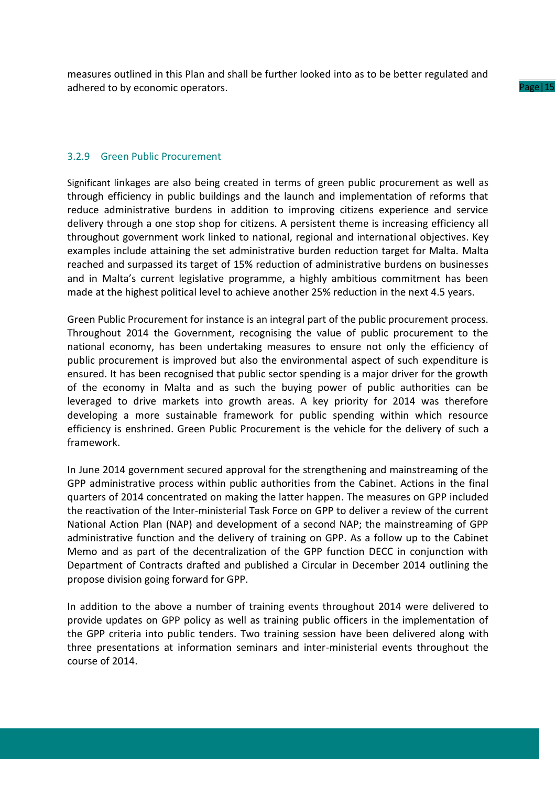measures outlined in this Plan and shall be further looked into as to be better regulated and adhered to by economic operators.

## 3.2.9 Green Public Procurement

Significant linkages are also being created in terms of green public procurement as well as through efficiency in public buildings and the launch and implementation of reforms that reduce administrative burdens in addition to improving citizens experience and service delivery through a one stop shop for citizens. A persistent theme is increasing efficiency all throughout government work linked to national, regional and international objectives. Key examples include attaining the set administrative burden reduction target for Malta. Malta reached and surpassed its target of 15% reduction of administrative burdens on businesses and in Malta's current legislative programme, a highly ambitious commitment has been made at the highest political level to achieve another 25% reduction in the next 4.5 years.

Green Public Procurement for instance is an integral part of the public procurement process. Throughout 2014 the Government, recognising the value of public procurement to the national economy, has been undertaking measures to ensure not only the efficiency of public procurement is improved but also the environmental aspect of such expenditure is ensured. It has been recognised that public sector spending is a major driver for the growth of the economy in Malta and as such the buying power of public authorities can be leveraged to drive markets into growth areas. A key priority for 2014 was therefore developing a more sustainable framework for public spending within which resource efficiency is enshrined. Green Public Procurement is the vehicle for the delivery of such a framework.

In June 2014 government secured approval for the strengthening and mainstreaming of the GPP administrative process within public authorities from the Cabinet. Actions in the final quarters of 2014 concentrated on making the latter happen. The measures on GPP included the reactivation of the Inter-ministerial Task Force on GPP to deliver a review of the current National Action Plan (NAP) and development of a second NAP; the mainstreaming of GPP administrative function and the delivery of training on GPP. As a follow up to the Cabinet Memo and as part of the decentralization of the GPP function DECC in conjunction with Department of Contracts drafted and published a Circular in December 2014 outlining the propose division going forward for GPP.

In addition to the above a number of training events throughout 2014 were delivered to provide updates on GPP policy as well as training public officers in the implementation of the GPP criteria into public tenders. Two training session have been delivered along with three presentations at information seminars and inter-ministerial events throughout the course of 2014.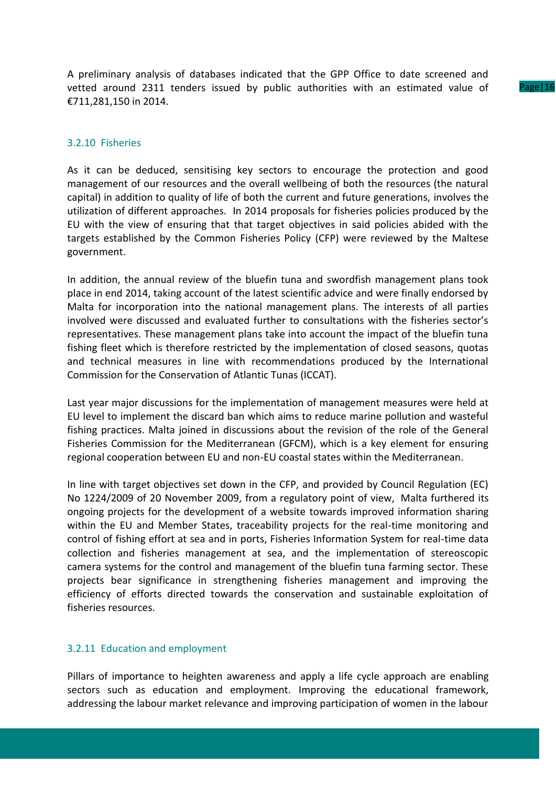A preliminary analysis of databases indicated that the GPP Office to date screened and vetted around 2311 tenders issued by public authorities with an estimated value of €711,281,150 in 2014.

#### Page 16

#### 3.2.10 Fisheries

As it can be deduced, sensitising key sectors to encourage the protection and good management of our resources and the overall wellbeing of both the resources (the natural capital) in addition to quality of life of both the current and future generations, involves the utilization of different approaches. In 2014 proposals for fisheries policies produced by the EU with the view of ensuring that that target objectives in said policies abided with the targets established by the Common Fisheries Policy (CFP) were reviewed by the Maltese government.

In addition, the annual review of the bluefin tuna and swordfish management plans took place in end 2014, taking account of the latest scientific advice and were finally endorsed by Malta for incorporation into the national management plans. The interests of all parties involved were discussed and evaluated further to consultations with the fisheries sector's representatives. These management plans take into account the impact of the bluefin tuna fishing fleet which is therefore restricted by the implementation of closed seasons, quotas and technical measures in line with recommendations produced by the International Commission for the Conservation of Atlantic Tunas (ICCAT).

Last year major discussions for the implementation of management measures were held at EU level to implement the discard ban which aims to reduce marine pollution and wasteful fishing practices. Malta joined in discussions about the revision of the role of the General Fisheries Commission for the Mediterranean (GFCM), which is a key element for ensuring regional cooperation between EU and non-EU coastal states within the Mediterranean.

In line with target objectives set down in the CFP, and provided by Council Regulation (EC) No 1224/2009 of 20 November 2009, from a regulatory point of view, Malta furthered its ongoing projects for the development of a website towards improved information sharing within the EU and Member States, traceability projects for the real-time monitoring and control of fishing effort at sea and in ports, Fisheries Information System for real-time data collection and fisheries management at sea, and the implementation of stereoscopic camera systems for the control and management of the bluefin tuna farming sector. These projects bear significance in strengthening fisheries management and improving the efficiency of efforts directed towards the conservation and sustainable exploitation of fisheries resources.

#### 3.2.11 Education and employment

Pillars of importance to heighten awareness and apply a life cycle approach are enabling sectors such as education and employment. Improving the educational framework, addressing the labour market relevance and improving participation of women in the labour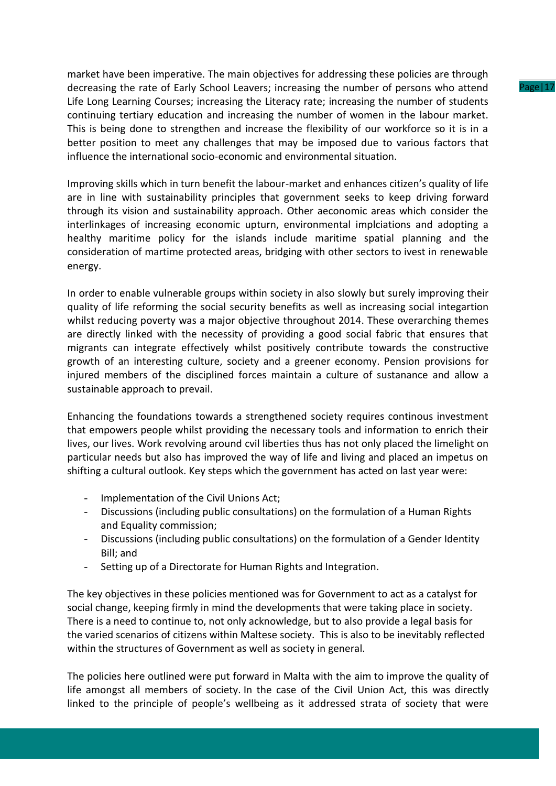market have been imperative. The main objectives for addressing these policies are through decreasing the rate of Early School Leavers; increasing the number of persons who attend Life Long Learning Courses; increasing the Literacy rate; increasing the number of students continuing tertiary education and increasing the number of women in the labour market. This is being done to strengthen and increase the flexibility of our workforce so it is in a better position to meet any challenges that may be imposed due to various factors that influence the international socio-economic and environmental situation.

Improving skills which in turn benefit the labour-market and enhances citizen's quality of life are in line with sustainability principles that government seeks to keep driving forward through its vision and sustainability approach. Other aeconomic areas which consider the interlinkages of increasing economic upturn, environmental implciations and adopting a healthy maritime policy for the islands include maritime spatial planning and the consideration of martime protected areas, bridging with other sectors to ivest in renewable energy.

In order to enable vulnerable groups within society in also slowly but surely improving their quality of life reforming the social security benefits as well as increasing social integartion whilst reducing poverty was a major objective throughout 2014. These overarching themes are directly linked with the necessity of providing a good social fabric that ensures that migrants can integrate effectively whilst positively contribute towards the constructive growth of an interesting culture, society and a greener economy. Pension provisions for injured members of the disciplined forces maintain a culture of sustanance and allow a sustainable approach to prevail.

Enhancing the foundations towards a strengthened society requires continous investment that empowers people whilst providing the necessary tools and information to enrich their lives, our lives. Work revolving around cvil liberties thus has not only placed the limelight on particular needs but also has improved the way of life and living and placed an impetus on shifting a cultural outlook. Key steps which the government has acted on last year were:

- Implementation of the Civil Unions Act;
- Discussions (including public consultations) on the formulation of a Human Rights and Equality commission;
- Discussions (including public consultations) on the formulation of a Gender Identity Bill; and
- Setting up of a Directorate for Human Rights and Integration.

The key objectives in these policies mentioned was for Government to act as a catalyst for social change, keeping firmly in mind the developments that were taking place in society. There is a need to continue to, not only acknowledge, but to also provide a legal basis for the varied scenarios of citizens within Maltese society. This is also to be inevitably reflected within the structures of Government as well as society in general.

The policies here outlined were put forward in Malta with the aim to improve the quality of life amongst all members of society. In the case of the Civil Union Act, this was directly linked to the principle of people's wellbeing as it addressed strata of society that were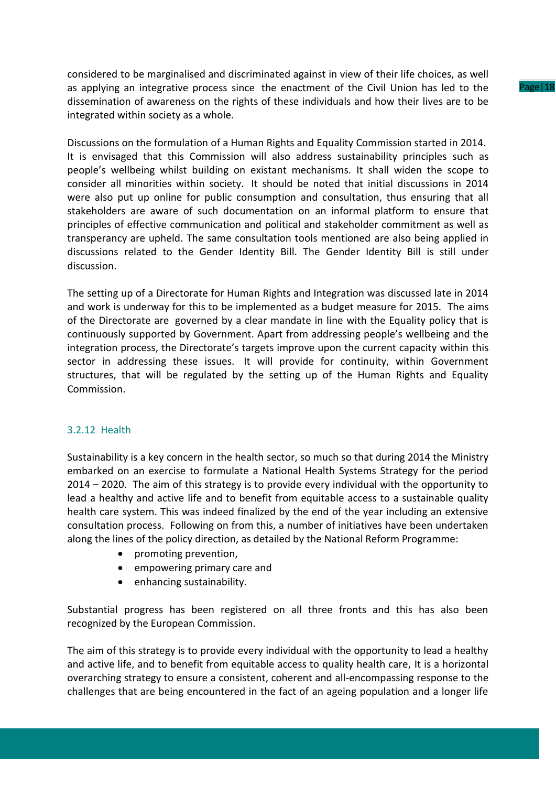considered to be marginalised and discriminated against in view of their life choices, as well as applying an integrative process since the enactment of the Civil Union has led to the dissemination of awareness on the rights of these individuals and how their lives are to be integrated within society as a whole.

Discussions on the formulation of a Human Rights and Equality Commission started in 2014. It is envisaged that this Commission will also address sustainability principles such as people's wellbeing whilst building on existant mechanisms. It shall widen the scope to consider all minorities within society. It should be noted that initial discussions in 2014 were also put up online for public consumption and consultation, thus ensuring that all stakeholders are aware of such documentation on an informal platform to ensure that principles of effective communication and political and stakeholder commitment as well as transperancy are upheld. The same consultation tools mentioned are also being applied in discussions related to the Gender Identity Bill. The Gender Identity Bill is still under discussion.

The setting up of a Directorate for Human Rights and Integration was discussed late in 2014 and work is underway for this to be implemented as a budget measure for 2015. The aims of the Directorate are governed by a clear mandate in line with the Equality policy that is continuously supported by Government. Apart from addressing people's wellbeing and the integration process, the Directorate's targets improve upon the current capacity within this sector in addressing these issues. It will provide for continuity, within Government structures, that will be regulated by the setting up of the Human Rights and Equality Commission.

## 3.2.12 Health

Sustainability is a key concern in the health sector, so much so that during 2014 the Ministry embarked on an exercise to formulate a National Health Systems Strategy for the period 2014 – 2020. The aim of this strategy is to provide every individual with the opportunity to lead a healthy and active life and to benefit from equitable access to a sustainable quality health care system. This was indeed finalized by the end of the year including an extensive consultation process. Following on from this, a number of initiatives have been undertaken along the lines of the policy direction, as detailed by the National Reform Programme:

- promoting prevention,
- empowering primary care and
- enhancing sustainability.

Substantial progress has been registered on all three fronts and this has also been recognized by the European Commission.

The aim of this strategy is to provide every individual with the opportunity to lead a healthy and active life, and to benefit from equitable access to quality health care, It is a horizontal overarching strategy to ensure a consistent, coherent and all-encompassing response to the challenges that are being encountered in the fact of an ageing population and a longer life Page | 18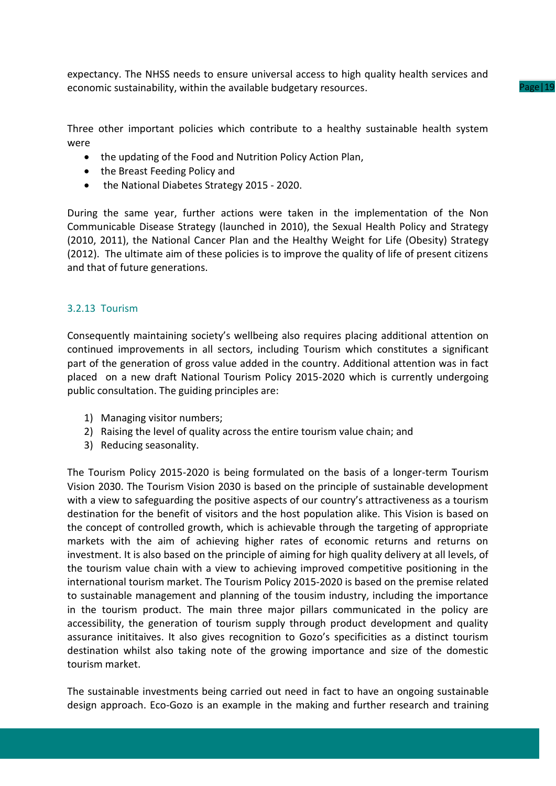expectancy. The NHSS needs to ensure universal access to high quality health services and economic sustainability, within the available budgetary resources.

Page|19

Three other important policies which contribute to a healthy sustainable health system were

- the updating of the Food and Nutrition Policy Action Plan,
- the Breast Feeding Policy and
- the National Diabetes Strategy 2015 2020.

During the same year, further actions were taken in the implementation of the Non Communicable Disease Strategy (launched in 2010), the Sexual Health Policy and Strategy (2010, 2011), the National Cancer Plan and the Healthy Weight for Life (Obesity) Strategy (2012). The ultimate aim of these policies is to improve the quality of life of present citizens and that of future generations.

## 3.2.13 Tourism

Consequently maintaining society's wellbeing also requires placing additional attention on continued improvements in all sectors, including Tourism which constitutes a significant part of the generation of gross value added in the country. Additional attention was in fact placed on a new draft National Tourism Policy 2015-2020 which is currently undergoing public consultation. The guiding principles are:

- 1) Managing visitor numbers;
- 2) Raising the level of quality across the entire tourism value chain; and
- 3) Reducing seasonality.

The Tourism Policy 2015-2020 is being formulated on the basis of a longer-term Tourism Vision 2030. The Tourism Vision 2030 is based on the principle of sustainable development with a view to safeguarding the positive aspects of our country's attractiveness as a tourism destination for the benefit of visitors and the host population alike. This Vision is based on the concept of controlled growth, which is achievable through the targeting of appropriate markets with the aim of achieving higher rates of economic returns and returns on investment. It is also based on the principle of aiming for high quality delivery at all levels, of the tourism value chain with a view to achieving improved competitive positioning in the international tourism market. The Tourism Policy 2015-2020 is based on the premise related to sustainable management and planning of the tousim industry, including the importance in the tourism product. The main three major pillars communicated in the policy are accessibility, the generation of tourism supply through product development and quality assurance inititaives. It also gives recognition to Gozo's specificities as a distinct tourism destination whilst also taking note of the growing importance and size of the domestic tourism market.

The sustainable investments being carried out need in fact to have an ongoing sustainable design approach. Eco-Gozo is an example in the making and further research and training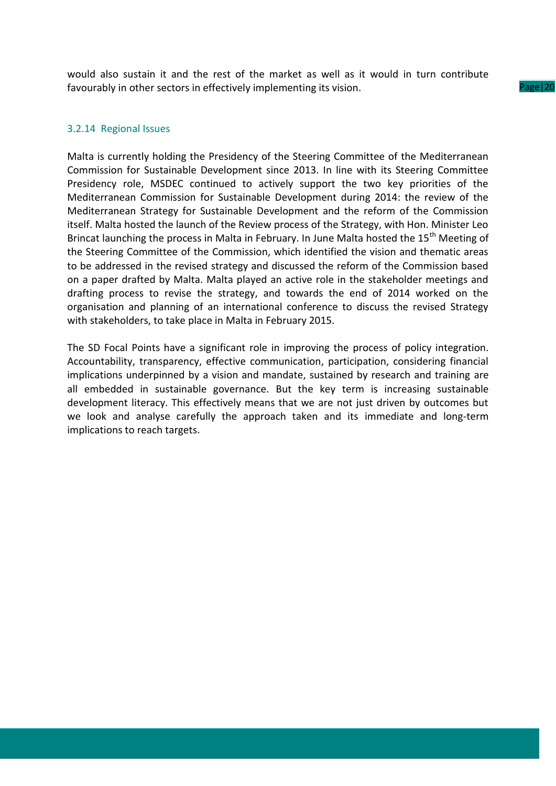would also sustain it and the rest of the market as well as it would in turn contribute favourably in other sectors in effectively implementing its vision.

Page|20

#### 3.2.14 Regional Issues

Malta is currently holding the Presidency of the Steering Committee of the Mediterranean Commission for Sustainable Development since 2013. In line with its Steering Committee Presidency role, MSDEC continued to actively support the two key priorities of the Mediterranean Commission for Sustainable Development during 2014: the review of the Mediterranean Strategy for Sustainable Development and the reform of the Commission itself. Malta hosted the launch of the Review process of the Strategy, with Hon. Minister Leo Brincat launching the process in Malta in February. In June Malta hosted the 15<sup>th</sup> Meeting of the Steering Committee of the Commission, which identified the vision and thematic areas to be addressed in the revised strategy and discussed the reform of the Commission based on a paper drafted by Malta. Malta played an active role in the stakeholder meetings and drafting process to revise the strategy, and towards the end of 2014 worked on the organisation and planning of an international conference to discuss the revised Strategy with stakeholders, to take place in Malta in February 2015.

The SD Focal Points have a significant role in improving the process of policy integration. Accountability, transparency, effective communication, participation, considering financial implications underpinned by a vision and mandate, sustained by research and training are all embedded in sustainable governance. But the key term is increasing sustainable development literacy. This effectively means that we are not just driven by outcomes but we look and analyse carefully the approach taken and its immediate and long-term implications to reach targets.